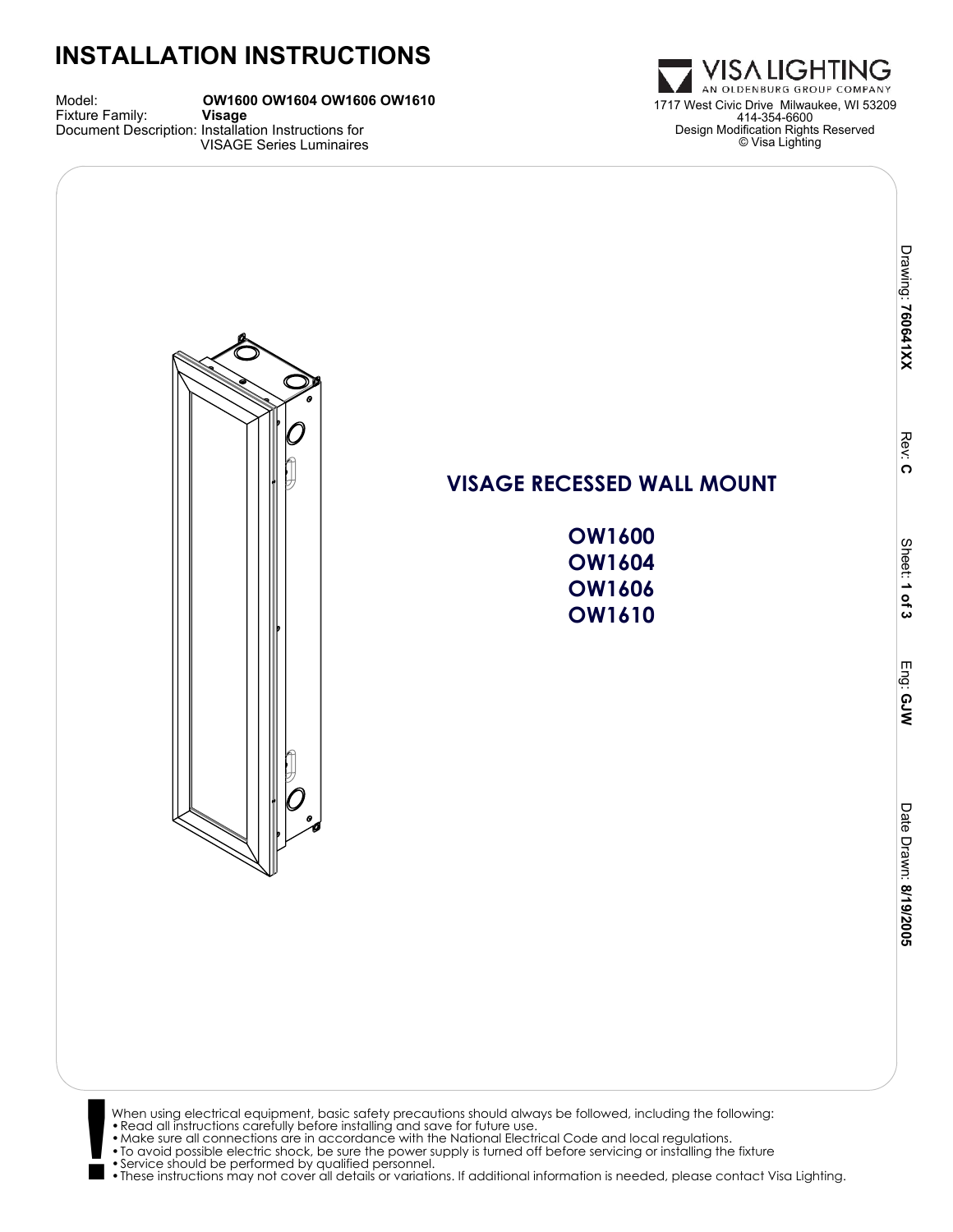## **INSTALLATION INSTRUCTIONS**

Model: **OW1600 OW1604 OW1606 OW1610** Document Description: Installation Instructions for VISAGE Series Luminaires



When using electrical equipment, basic safety precautions should always be followed, including the following:<br>• Read all instructions carefully before installing and save for future use.<br>• Make sure all connections are in

- 
- 
- 
- 

•These instructions may not cover all details or variations. If additional information is needed, please contact Visa Lighting.

1717 West Civic Drive Milwaukee, WI 53209 414-354-6600 Design Modification Rights Reserved © Visa Lighting

A<sub>N</sub>

**ISALIGHTING** OLDENBURG GROUP COMPANY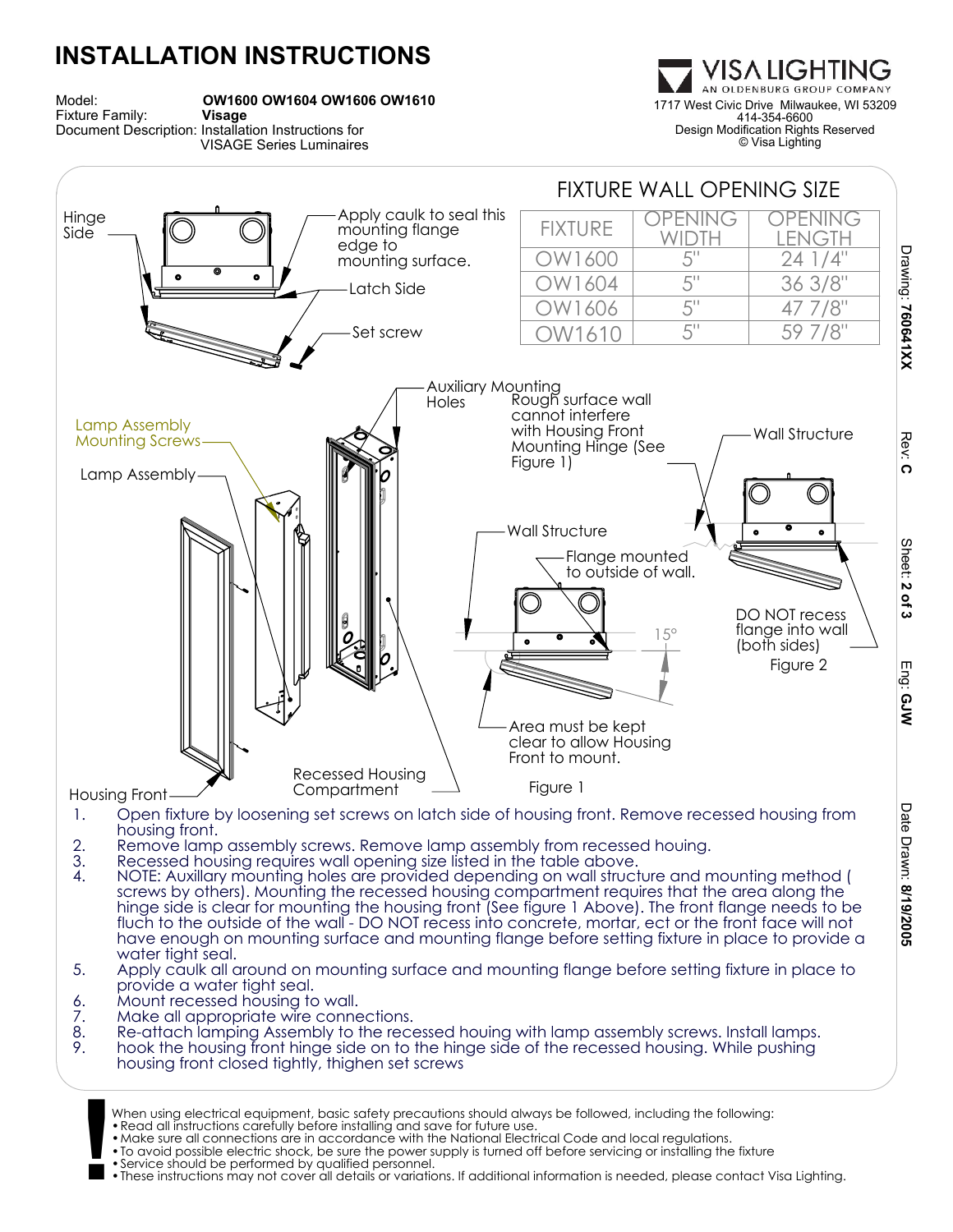## **INSTALLATION INSTRUCTIONS**

Model: **OW1600 OW1604 OW1606 OW1610** Document Description: Installation Instructions for VISAGE Series Luminaires



Housing Front

- 1. Open fixture by loosening set screws on latch side of housing front. Remove recessed housing from housing front.
- 2. Remove lamp assembly screws. Remove lamp assembly from recessed houing.<br>3. Recessed housing requires wall opening size listed in the table above.
- 3. Recessed housing requires wall opening size listed in the table above.<br>3. NOTE: Auxillary mounting holes are provided depending on wall struct
- NOTE: Auxillary mounting holes are provided depending on wall structure and mounting method ( screws by others). Mounting the recessed housing compartment requires that the area along the hinge side is clear for mounting the housing front (See figure 1 Above). The front flange needs to be fluch to the outside of the wall - DO NOT recess into concrete, mortar, ect or the front face will not have enough on mounting surface and mounting flange before setting fixture in place to provide a water tight seal.
- 5. Apply caulk all around on mounting surface and mounting flange before setting fixture in place to provide a water tight seal.
- 6. Mount recessed housing to wall.<br>7. Make all appropriate wire conne
- 7. Make all appropriate wire connections.<br>8. Re-attach lamping Assembly to the rece
- 8. Re-attach lamping Assembly to the recessed houing with lamp assembly screws. Install lamps.<br>8. hook the housing front hinge side on to the hinge side of the recessed housing. While pushing
- hook the housing front hinge side on to the hinge side of the recessed housing. While pushing housing front closed tightly, thighen set screws
- **!** When using electrical equipment, basic safety precautions should always be followed, including the following:<br>• Read all instructions carefully before installing and save for future use.<br>• Make sure all connections are in
	-
	- •To avoid possible electric shock, be sure the power supply is turned off before servicing or installing the fixture •Service should be performed by qualified personnel.
	-
	- •These instructions may not cover all details or variations. If additional information is needed, please contact Visa Lighting.

1717 West Civic Drive Milwaukee, WI 53209 414-354-6600 Design Modification Rights Reserved © Visa Lighting

VISA LIGHTING AN OLDENBURG GROUP COMPANY

 **760641XX**

Date Drawn:

Date Drawn: 8/19/2005

 **8/19/2005**